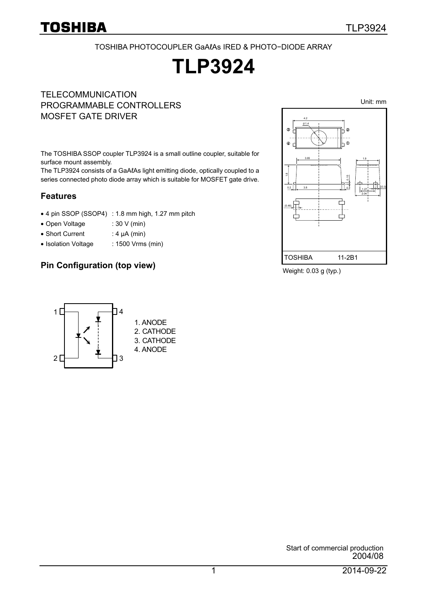Unit: mm

TOSHIBA PHOTOCOUPLER GaAℓAs IRED & PHOTO−DIODE ARRAY

# **TLP3924**

**TELECOMMUNICATION** PROGRAMMABLE CONTROLLERS MOSFET GATE DRIVER

The TOSHIBA SSOP coupler TLP3924 is a small outline coupler, suitable for surface mount assembly.

The TLP3924 consists of a GaAℓAs light emitting diode, optically coupled to a series connected photo diode array which is suitable for MOSFET gate drive.

#### **Features**

- 4 pin SSOP (SSOP4) : 1.8 mm high, 1.27 mm pitch
- Open Voltage : 30 V (min)
- Short Current : 4 μA (min)
- Isolation Voltage : 1500 Vrms (min)

#### **Pin Configuration (top view)**

Weight: 0.03 g (typ.)



4.2 ① ② ④ ③ 3.65 0.15  $\frac{8}{1}$  $0.2$   $\frac{1}{2}$  3.8 i  $\frac{1}{2}$   $\frac{1}{2}$  i<sub>127</sub>  $\rightarrow$   $\frac{1}{2}$ φ1.4 (0.46) 2.04 1.27 1.9 TOSHIBA 11-2B1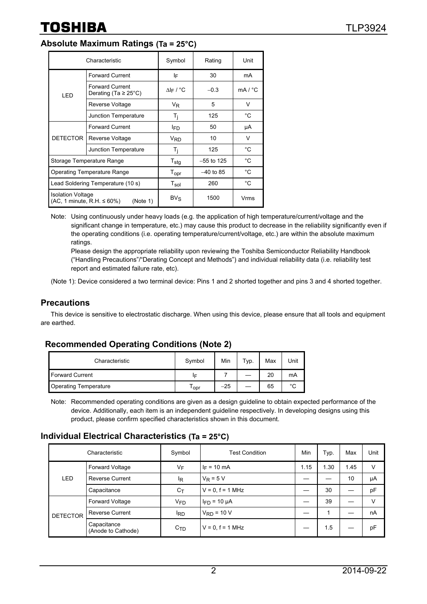#### **Absolute Maximum Ratings (Ta = 25°C)**

| Characteristic                                                             |                                                     | Symbol                | Rating       | Unit         |
|----------------------------------------------------------------------------|-----------------------------------------------------|-----------------------|--------------|--------------|
| LED                                                                        | <b>Forward Current</b>                              | ΙF                    | 30           | mA           |
|                                                                            | <b>Forward Current</b><br>Derating (Ta $\geq$ 25°C) | $\Delta$ IF / °C      | $-0.3$       | mA / °C      |
|                                                                            | Reverse Voltage                                     | V <sub>R</sub>        | 5            | V            |
|                                                                            | Junction Temperature                                | Τ <sub>i</sub>        | 125          | °C           |
| <b>DETECTOR</b>                                                            | <b>Forward Current</b>                              | l <sub>FD</sub>       | 50           | μA           |
|                                                                            | Reverse Voltage                                     | <b>V<sub>RD</sub></b> | 10           | V            |
|                                                                            | Junction Temperature                                | T <sub>i</sub>        | 125          | °C           |
| Storage Temperature Range                                                  |                                                     | $T_{\text{stg}}$      | $-55$ to 125 | °C           |
| <b>Operating Temperature Range</b>                                         |                                                     | $T_{\text{opr}}$      | $-40$ to 85  | $^{\circ}$ C |
| Lead Soldering Temperature (10 s)                                          |                                                     | $T_{\mathsf{sol}}$    | 260          | °C           |
| <b>Isolation Voltage</b><br>$(AC, 1$ minute, R.H. $\leq 60\%)$<br>(Note 1) |                                                     | BV <sub>S</sub>       | 1500         | Vrms         |

Note: Using continuously under heavy loads (e.g. the application of high temperature/current/voltage and the significant change in temperature, etc.) may cause this product to decrease in the reliability significantly even if the operating conditions (i.e. operating temperature/current/voltage, etc.) are within the absolute maximum ratings.

Please design the appropriate reliability upon reviewing the Toshiba Semiconductor Reliability Handbook ("Handling Precautions"/"Derating Concept and Methods") and individual reliability data (i.e. reliability test report and estimated failure rate, etc).

(Note 1): Device considered a two terminal device: Pins 1 and 2 shorted together and pins 3 and 4 shorted together.

#### **Precautions**

This device is sensitive to electrostatic discharge. When using this device, please ensure that all tools and equipment are earthed.

#### **Recommended Operating Conditions (Note 2)**

| Characteristic               | Symbol | Min   | Typ. | Max | Unit        |
|------------------------------|--------|-------|------|-----|-------------|
| <b>Forward Current</b>       | IF     |       |      | 20  | mA          |
| <b>Operating Temperature</b> | l opr  | $-25$ |      | 65  | $\sim$<br>◡ |

Note: Recommended operating conditions are given as a design guideline to obtain expected performance of the device. Additionally, each item is an independent guideline respectively. In developing designs using this product, please confirm specified characteristics shown in this document.

#### **Individual Electrical Characteristics (Ta = 25°C)**

| Characteristic  |                                   | Symbol                | <b>Test Condition</b> | Min  | Typ. | Max  | Unit |
|-----------------|-----------------------------------|-----------------------|-----------------------|------|------|------|------|
|                 | Forward Voltage                   | VF                    | $I_F = 10$ mA         | 1.15 | 1.30 | 1.45 | V    |
| LED             | <b>Reverse Current</b>            | l <sub>R</sub>        | $V_R = 5 V$           |      |      | 10   | μA   |
|                 | Capacitance                       | $C_T$                 | $V = 0, f = 1 MHz$    |      | 30   |      | pF   |
| <b>DETECTOR</b> | Forward Voltage                   | <b>V<sub>FD</sub></b> | $I_{FD}$ = 10 $\mu$ A |      | 39   |      | v    |
|                 | <b>Reverse Current</b>            | <sup>I</sup> RD       | $V_{RD}$ = 10 V       |      |      |      | nA   |
|                 | Capacitance<br>(Anode to Cathode) | C <sub>TD</sub>       | $V = 0$ . $f = 1$ MHz |      | 1.5  |      | рF   |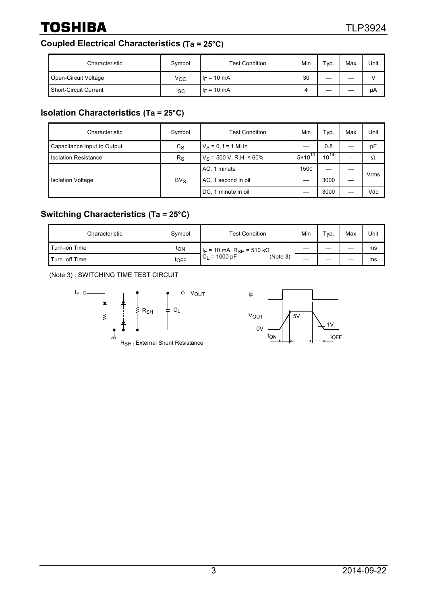# **TOSHIBA**

#### **Coupled Electrical Characteristics (Ta = 25°C)**

| Characteristic        | Symbol | <b>Test Condition</b> | Min | Typ. | Max | Unit |
|-----------------------|--------|-----------------------|-----|------|-----|------|
| Open-Circuit Voltage  | Voc    | $I_F = 10 \text{ mA}$ | 30  |      |     |      |
| Short-Circuit Current | Isc    | $I_F = 10 \text{ mA}$ |     |      |     | μA   |

#### **Isolation Characteristics (Ta = 25°C)**

| Characteristic              | Symbol      | <b>Test Condition</b>          | Min                | Tур.      | Max | Unit |
|-----------------------------|-------------|--------------------------------|--------------------|-----------|-----|------|
| Capacitance Input to Output | $c_{\rm S}$ | $V_S = 0$ , f = 1 MHz          |                    | 0.8       |     | pF   |
| <b>Isolation Resistance</b> | $R_{\rm S}$ | $V_S$ = 500 V, R.H. $\leq$ 60% | $5 \times 10^{10}$ | $10^{14}$ |     | Ω    |
|                             |             | AC, 1 minute                   | 1500               |           |     | Vrms |
| <b>Isolation Voltage</b>    | $BV_S$      | AC, 1 second in oil            |                    | 3000      |     |      |
|                             |             | DC, 1 minute in oil            |                    | 3000      |     | Vdc  |

#### **Switching Characteristics (Ta = 25°C)**

| Characteristic | Symbol | <b>Test Condition</b>                   | Min | Typ. | Max | Unit |
|----------------|--------|-----------------------------------------|-----|------|-----|------|
| Turn-on Time   | ton    | $I_F$ = 10 mA, R <sub>SH</sub> = 510 kΩ |     |      |     | ms   |
| Turn-off Time  | toff   | $C_L$ = 1000 pF<br>(Note 3)             |     |      |     | ms   |

(Note 3) : SWITCHING TIME TEST CIRCUIT



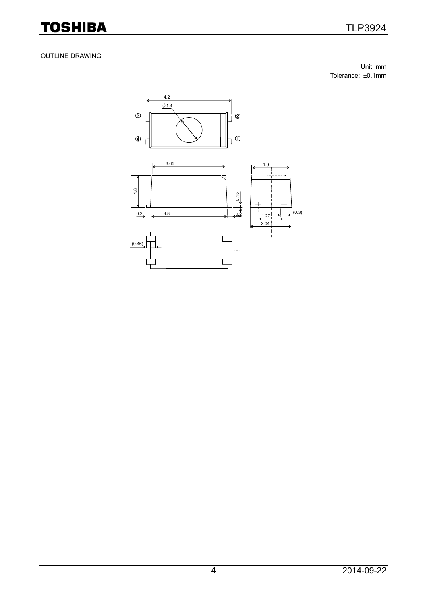## **TOSHIBA**

#### OUTLINE DRAWING

Unit: mm Tolerance: ±0.1mm

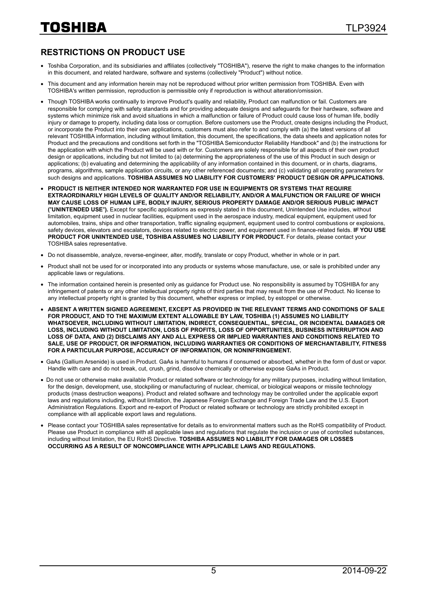#### **RESTRICTIONS ON PRODUCT USE**

- Toshiba Corporation, and its subsidiaries and affiliates (collectively "TOSHIBA"), reserve the right to make changes to the information in this document, and related hardware, software and systems (collectively "Product") without notice.
- This document and any information herein may not be reproduced without prior written permission from TOSHIBA. Even with TOSHIBA's written permission, reproduction is permissible only if reproduction is without alteration/omission.
- Though TOSHIBA works continually to improve Product's quality and reliability, Product can malfunction or fail. Customers are responsible for complying with safety standards and for providing adequate designs and safeguards for their hardware, software and systems which minimize risk and avoid situations in which a malfunction or failure of Product could cause loss of human life, bodily injury or damage to property, including data loss or corruption. Before customers use the Product, create designs including the Product, or incorporate the Product into their own applications, customers must also refer to and comply with (a) the latest versions of all relevant TOSHIBA information, including without limitation, this document, the specifications, the data sheets and application notes for Product and the precautions and conditions set forth in the "TOSHIBA Semiconductor Reliability Handbook" and (b) the instructions for the application with which the Product will be used with or for. Customers are solely responsible for all aspects of their own product design or applications, including but not limited to (a) determining the appropriateness of the use of this Product in such design or applications; (b) evaluating and determining the applicability of any information contained in this document, or in charts, diagrams, programs, algorithms, sample application circuits, or any other referenced documents; and (c) validating all operating parameters for such designs and applications. **TOSHIBA ASSUMES NO LIABILITY FOR CUSTOMERS' PRODUCT DESIGN OR APPLICATIONS.**
- **PRODUCT IS NEITHER INTENDED NOR WARRANTED FOR USE IN EQUIPMENTS OR SYSTEMS THAT REQUIRE EXTRAORDINARILY HIGH LEVELS OF QUALITY AND/OR RELIABILITY, AND/OR A MALFUNCTION OR FAILURE OF WHICH MAY CAUSE LOSS OF HUMAN LIFE, BODILY INJURY, SERIOUS PROPERTY DAMAGE AND/OR SERIOUS PUBLIC IMPACT (**"**UNINTENDED USE**"**).** Except for specific applications as expressly stated in this document, Unintended Use includes, without limitation, equipment used in nuclear facilities, equipment used in the aerospace industry, medical equipment, equipment used for automobiles, trains, ships and other transportation, traffic signaling equipment, equipment used to control combustions or explosions, safety devices, elevators and escalators, devices related to electric power, and equipment used in finance-related fields. **IF YOU USE PRODUCT FOR UNINTENDED USE, TOSHIBA ASSUMES NO LIABILITY FOR PRODUCT.** For details, please contact your TOSHIBA sales representative.
- Do not disassemble, analyze, reverse-engineer, alter, modify, translate or copy Product, whether in whole or in part.
- Product shall not be used for or incorporated into any products or systems whose manufacture, use, or sale is prohibited under any applicable laws or regulations.
- The information contained herein is presented only as quidance for Product use. No responsibility is assumed by TOSHIBA for any infringement of patents or any other intellectual property rights of third parties that may result from the use of Product. No license to any intellectual property right is granted by this document, whether express or implied, by estoppel or otherwise.
- **ABSENT A WRITTEN SIGNED AGREEMENT, EXCEPT AS PROVIDED IN THE RELEVANT TERMS AND CONDITIONS OF SALE FOR PRODUCT, AND TO THE MAXIMUM EXTENT ALLOWABLE BY LAW, TOSHIBA (1) ASSUMES NO LIABILITY WHATSOEVER, INCLUDING WITHOUT LIMITATION, INDIRECT, CONSEQUENTIAL, SPECIAL, OR INCIDENTAL DAMAGES OR LOSS, INCLUDING WITHOUT LIMITATION, LOSS OF PROFITS, LOSS OF OPPORTUNITIES, BUSINESS INTERRUPTION AND LOSS OF DATA, AND (2) DISCLAIMS ANY AND ALL EXPRESS OR IMPLIED WARRANTIES AND CONDITIONS RELATED TO SALE, USE OF PRODUCT, OR INFORMATION, INCLUDING WARRANTIES OR CONDITIONS OF MERCHANTABILITY, FITNESS FOR A PARTICULAR PURPOSE, ACCURACY OF INFORMATION, OR NONINFRINGEMENT.**
- GaAs (Gallium Arsenide) is used in Product. GaAs is harmful to humans if consumed or absorbed, whether in the form of dust or vapor. Handle with care and do not break, cut, crush, grind, dissolve chemically or otherwise expose GaAs in Product.
- Do not use or otherwise make available Product or related software or technology for any military purposes, including without limitation, for the design, development, use, stockpiling or manufacturing of nuclear, chemical, or biological weapons or missile technology products (mass destruction weapons). Product and related software and technology may be controlled under the applicable export laws and regulations including, without limitation, the Japanese Foreign Exchange and Foreign Trade Law and the U.S. Export Administration Regulations. Export and re-export of Product or related software or technology are strictly prohibited except in compliance with all applicable export laws and regulations.
- Please contact your TOSHIBA sales representative for details as to environmental matters such as the RoHS compatibility of Product. Please use Product in compliance with all applicable laws and regulations that regulate the inclusion or use of controlled substances, including without limitation, the EU RoHS Directive. **TOSHIBA ASSUMES NO LIABILITY FOR DAMAGES OR LOSSES OCCURRING AS A RESULT OF NONCOMPLIANCE WITH APPLICABLE LAWS AND REGULATIONS.**